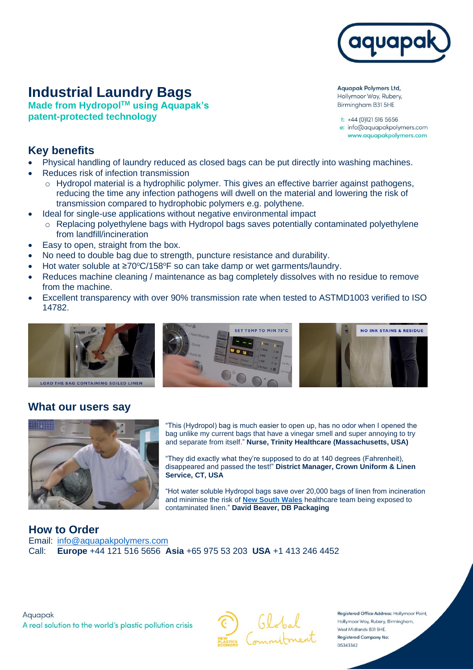

# **Industrial Laundry Bags**

**Made from HydropolTM using Aquapak's patent-protected technology**

**Aquapak Polymers Ltd,** Hollymoor Way, Rubery, Birmingham B31 5HE

t: +44 (0)121 516 5656 e: info@aquapakpolymers.com www.aquapakpolymers.com

#### **Key benefits**

- Physical handling of laundry reduced as closed bags can be put directly into washing machines.
- Reduces risk of infection transmission
	- o Hydropol material is a hydrophilic polymer. This gives an effective barrier against pathogens, reducing the time any infection pathogens will dwell on the material and lowering the risk of transmission compared to hydrophobic polymers e.g. polythene.
- Ideal for single-use applications without negative environmental impact
	- o Replacing polyethylene bags with Hydropol bags saves potentially contaminated polyethylene from landfill/incineration
- Easy to open, straight from the box.
- No need to double bag due to strength, puncture resistance and durability.
- Hot water soluble at ≥70°C/158°F so can take damp or wet garments/laundry.
- Reduces machine cleaning / maintenance as bag completely dissolves with no residue to remove from the machine.
- Excellent transparency with over 90% transmission rate when tested to ASTMD1003 verified to ISO 14782.



#### **What our users say**



"This (Hydropol) bag is much easier to open up, has no odor when I opened the bag unlike my current bags that have a vinegar smell and super annoying to try and separate from itself." **Nurse, Trinity Healthcare (Massachusetts, USA)**

"They did exactly what they're supposed to do at 140 degrees (Fahrenheit), disappeared and passed the test!" **District Manager, Crown Uniform & Linen Service, CT, USA**

"Hot water soluble Hydropol bags save over 20,000 bags of linen from incineration and minimise the risk of **[New South Wales](https://youtu.be/ACHxN5Jy-Qs)** healthcare team being exposed to contaminated linen." **David Beaver, DB Packaging**

**How to Order** Email: [info@aquapakpolymers.com](mailto:info@aquapakpolymers.com) Call: **Europe** +44 121 516 5656 **Asia** +65 975 53 203 **USA** +1 413 246 4452



Registered Office Address: Hollymoor Point, Hollymoor Way, Rubery, Birmingham, West Midlands B31 5HE. **Registered Company No:** 05343342